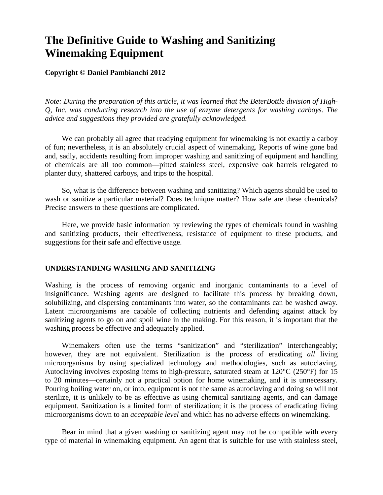# **The Definitive Guide to Washing and Sanitizing Winemaking Equipment**

# **Copyright © Daniel Pambianchi 2012**

*Note: During the preparation of this article, it was learned that the BeterBottle division of High-Q, Inc. was conducting research into the use of enzyme detergents for washing carboys. The advice and suggestions they provided are gratefully acknowledged.* 

We can probably all agree that readying equipment for winemaking is not exactly a carboy of fun; nevertheless, it is an absolutely crucial aspect of winemaking. Reports of wine gone bad and, sadly, accidents resulting from improper washing and sanitizing of equipment and handling of chemicals are all too common—pitted stainless steel, expensive oak barrels relegated to planter duty, shattered carboys, and trips to the hospital.

So, what is the difference between washing and sanitizing? Which agents should be used to wash or sanitize a particular material? Does technique matter? How safe are these chemicals? Precise answers to these questions are complicated.

Here, we provide basic information by reviewing the types of chemicals found in washing and sanitizing products, their effectiveness, resistance of equipment to these products, and suggestions for their safe and effective usage.

## **UNDERSTANDING WASHING AND SANITIZING**

Washing is the process of removing organic and inorganic contaminants to a level of insignificance. Washing agents are designed to facilitate this process by breaking down, solubilizing, and dispersing contaminants into water, so the contaminants can be washed away. Latent microorganisms are capable of collecting nutrients and defending against attack by sanitizing agents to go on and spoil wine in the making. For this reason, it is important that the washing process be effective and adequately applied.

Winemakers often use the terms "sanitization" and "sterilization" interchangeably; however, they are not equivalent. Sterilization is the process of eradicating *all* living microorganisms by using specialized technology and methodologies, such as autoclaving. Autoclaving involves exposing items to high-pressure, saturated steam at 120°C (250°F) for 15 to 20 minutes—certainly not a practical option for home winemaking, and it is unnecessary. Pouring boiling water on, or into, equipment is not the same as autoclaving and doing so will not sterilize, it is unlikely to be as effective as using chemical sanitizing agents, and can damage equipment. Sanitization is a limited form of sterilization; it is the process of eradicating living microorganisms down to an *acceptable level* and which has no adverse effects on winemaking.

Bear in mind that a given washing or sanitizing agent may not be compatible with every type of material in winemaking equipment. An agent that is suitable for use with stainless steel,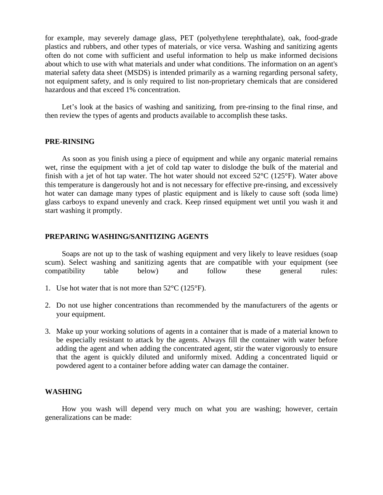for example, may severely damage glass, PET (polyethylene terephthalate), oak, food-grade plastics and rubbers, and other types of materials, or vice versa. Washing and sanitizing agents often do not come with sufficient and useful information to help us make informed decisions about which to use with what materials and under what conditions. The information on an agent's material safety data sheet (MSDS) is intended primarily as a warning regarding personal safety, not equipment safety, and is only required to list non-proprietary chemicals that are considered hazardous and that exceed 1% concentration.

Let's look at the basics of washing and sanitizing, from pre-rinsing to the final rinse, and then review the types of agents and products available to accomplish these tasks.

#### **PRE-RINSING**

As soon as you finish using a piece of equipment and while any organic material remains wet, rinse the equipment with a jet of cold tap water to dislodge the bulk of the material and finish with a jet of hot tap water. The hot water should not exceed  $52^{\circ}C$  (125 $^{\circ}F$ ). Water above this temperature is dangerously hot and is not necessary for effective pre-rinsing, and excessively hot water can damage many types of plastic equipment and is likely to cause soft (soda lime) glass carboys to expand unevenly and crack. Keep rinsed equipment wet until you wash it and start washing it promptly.

### **PREPARING WASHING/SANITIZING AGENTS**

Soaps are not up to the task of washing equipment and very likely to leave residues (soap scum). Select washing and sanitizing agents that are compatible with your equipment (see compatibility table below) and follow these general rules:

- 1. Use hot water that is not more than  $52^{\circ}C$  (125 $^{\circ}F$ ).
- 2. Do not use higher concentrations than recommended by the manufacturers of the agents or your equipment.
- 3. Make up your working solutions of agents in a container that is made of a material known to be especially resistant to attack by the agents. Always fill the container with water before adding the agent and when adding the concentrated agent, stir the water vigorously to ensure that the agent is quickly diluted and uniformly mixed. Adding a concentrated liquid or powdered agent to a container before adding water can damage the container.

## **WASHING**

How you wash will depend very much on what you are washing; however, certain generalizations can be made: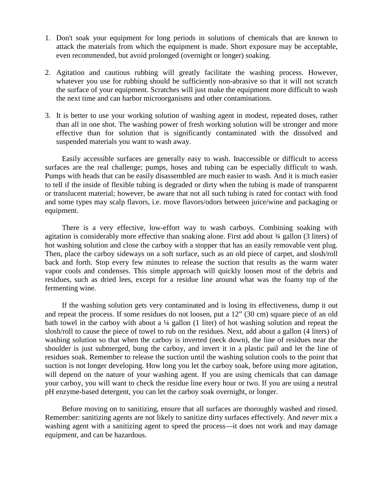- 1. Don't soak your equipment for long periods in solutions of chemicals that are known to attack the materials from which the equipment is made. Short exposure may be acceptable, even recommended, but avoid prolonged (overnight or longer) soaking.
- 2. Agitation and cautious rubbing will greatly facilitate the washing process. However, whatever you use for rubbing should be sufficiently non-abrasive so that it will not scratch the surface of your equipment. Scratches will just make the equipment more difficult to wash the next time and can harbor microorganisms and other contaminations.
- 3. It is better to use your working solution of washing agent in modest, repeated doses, rather than all in one shot. The washing power of fresh working solution will be stronger and more effective than for solution that is significantly contaminated with the dissolved and suspended materials you want to wash away.

Easily accessible surfaces are generally easy to wash. Inaccessible or difficult to access surfaces are the real challenge; pumps, hoses and tubing can be especially difficult to wash. Pumps with heads that can be easily disassembled are much easier to wash. And it is much easier to tell if the inside of flexible tubing is degraded or dirty when the tubing is made of transparent or translucent material; however, be aware that not all such tubing is rated for contact with food and some types may scalp flavors, i.e. move flavors/odors between juice/wine and packaging or equipment.

There is a very effective, low-effort way to wash carboys. Combining soaking with agitation is considerably more effective than soaking alone. First add about ¾ gallon (3 liters) of hot washing solution and close the carboy with a stopper that has an easily removable vent plug. Then, place the carboy sideways on a soft surface, such as an old piece of carpet, and slosh/roll back and forth. Stop every few minutes to release the suction that results as the warm water vapor cools and condenses. This simple approach will quickly loosen most of the debris and residues, such as dried lees, except for a residue line around what was the foamy top of the fermenting wine.

If the washing solution gets very contaminated and is losing its effectiveness, dump it out and repeat the process. If some residues do not loosen, put a 12" (30 cm) square piece of an old bath towel in the carboy with about a ¼ gallon (1 liter) of hot washing solution and repeat the slosh/roll to cause the piece of towel to rub on the residues. Next, add about a gallon (4 liters) of washing solution so that when the carboy is inverted (neck down), the line of residues near the shoulder is just submerged, bung the carboy, and invert it in a plastic pail and let the line of residues soak. Remember to release the suction until the washing solution cools to the point that suction is not longer developing. How long you let the carboy soak, before using more agitation, will depend on the nature of your washing agent. If you are using chemicals that can damage your carboy, you will want to check the residue line every hour or two. If you are using a neutral pH enzyme-based detergent, you can let the carboy soak overnight, or longer.

Before moving on to sanitizing, ensure that all surfaces are thoroughly washed and rinsed. Remember: sanitizing agents are not likely to sanitize dirty surfaces effectively. And *never* mix a washing agent with a sanitizing agent to speed the process—it does not work and may damage equipment, and can be hazardous.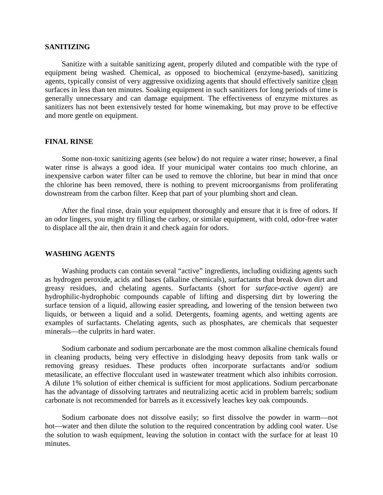# **SANITIZING**

Sanitize with a suitable sanitizing agent, properly diluted and compatible with the type of equipment being washed. Chemical, as opposed to biochemical (enzyme-based), sanitizing agents, typically consist of very aggressive oxidizing agents that should effectively sanitize clean surfaces in less than ten minutes. Soaking equipment in such sanitizers for long periods of time is generally unnecessary and can damage equipment. The effectiveness of enzyme mixtures as sanitizers has not been extensively tested for home winemaking, but may prove to be effective and more gentle on equipment.

#### **FINAL RINSE**

Some non-toxic sanitizing agents (see below) do not require a water rinse; however, a final water rinse is always a good idea. If your municipal water contains too much chlorine, an inexpensive carbon water filter can be used to remove the chlorine, but bear in mind that once the chlorine has been removed, there is nothing to prevent microorganisms from proliferating downstream from the carbon filter. Keep that part of your plumbing short and clean.

After the final rinse, drain your equipment thoroughly and ensure that it is free of odors. If an odor lingers, you might try filling the carboy, or similar equipment, with cold, odor-free water to displace all the air, then drain it and check again for odors.

#### **WASHING AGENTS**

Washing products can contain several "active" ingredients, including oxidizing agents such as hydrogen peroxide, acids and bases (alkaline chemicals), surfactants that break down dirt and greasy residues, and chelating agents. Surfactants (short for *surface-active agent*) are hydrophilic-hydrophobic compounds capable of lifting and dispersing dirt by lowering the surface tension of a liquid, allowing easier spreading, and lowering of the tension between two liquids, or between a liquid and a solid. Detergents, foaming agents, and wetting agents are examples of surfactants. Chelating agents, such as phosphates, are chemicals that sequester minerals—the culprits in hard water.

Sodium carbonate and sodium percarbonate are the most common alkaline chemicals found in cleaning products, being very effective in dislodging heavy deposits from tank walls or removing greasy residues. These products often incorporate surfactants and/or sodium metasilicate, an effective flocculant used in wastewater treatment which also inhibits corrosion. A dilute 1% solution of either chemical is sufficient for most applications. Sodium percarbonate has the advantage of dissolving tartrates and neutralizing acetic acid in problem barrels; sodium carbonate is not recommended for barrels as it excessively leaches key oak compounds.

Sodium carbonate does not dissolve easily; so first dissolve the powder in warm—not hot—water and then dilute the solution to the required concentration by adding cool water. Use the solution to wash equipment, leaving the solution in contact with the surface for at least 10 minutes.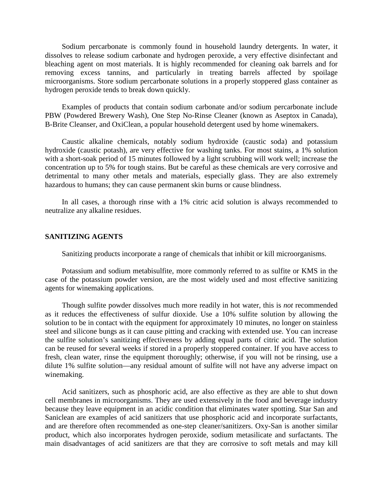Sodium percarbonate is commonly found in household laundry detergents. In water, it dissolves to release sodium carbonate and hydrogen peroxide, a very effective disinfectant and bleaching agent on most materials. It is highly recommended for cleaning oak barrels and for removing excess tannins, and particularly in treating barrels affected by spoilage microorganisms. Store sodium percarbonate solutions in a properly stoppered glass container as hydrogen peroxide tends to break down quickly.

Examples of products that contain sodium carbonate and/or sodium percarbonate include PBW (Powdered Brewery Wash), One Step No-Rinse Cleaner (known as Aseptox in Canada), B-Brite Cleanser, and OxiClean, a popular household detergent used by home winemakers.

Caustic alkaline chemicals, notably sodium hydroxide (caustic soda) and potassium hydroxide (caustic potash), are very effective for washing tanks. For most stains, a 1% solution with a short-soak period of 15 minutes followed by a light scrubbing will work well; increase the concentration up to 5% for tough stains. But be careful as these chemicals are very corrosive and detrimental to many other metals and materials, especially glass. They are also extremely hazardous to humans; they can cause permanent skin burns or cause blindness.

In all cases, a thorough rinse with a 1% citric acid solution is always recommended to neutralize any alkaline residues.

## **SANITIZING AGENTS**

Sanitizing products incorporate a range of chemicals that inhibit or kill microorganisms.

Potassium and sodium metabisulfite, more commonly referred to as sulfite or KMS in the case of the potassium powder version, are the most widely used and most effective sanitizing agents for winemaking applications.

Though sulfite powder dissolves much more readily in hot water, this is *not* recommended as it reduces the effectiveness of sulfur dioxide. Use a 10% sulfite solution by allowing the solution to be in contact with the equipment for approximately 10 minutes, no longer on stainless steel and silicone bungs as it can cause pitting and cracking with extended use. You can increase the sulfite solution's sanitizing effectiveness by adding equal parts of citric acid. The solution can be reused for several weeks if stored in a properly stoppered container. If you have access to fresh, clean water, rinse the equipment thoroughly; otherwise, if you will not be rinsing, use a dilute 1% sulfite solution—any residual amount of sulfite will not have any adverse impact on winemaking.

Acid sanitizers, such as phosphoric acid, are also effective as they are able to shut down cell membranes in microorganisms. They are used extensively in the food and beverage industry because they leave equipment in an acidic condition that eliminates water spotting. Star San and Saniclean are examples of acid sanitizers that use phosphoric acid and incorporate surfactants, and are therefore often recommended as one-step cleaner/sanitizers. Oxy-San is another similar product, which also incorporates hydrogen peroxide, sodium metasilicate and surfactants. The main disadvantages of acid sanitizers are that they are corrosive to soft metals and may kill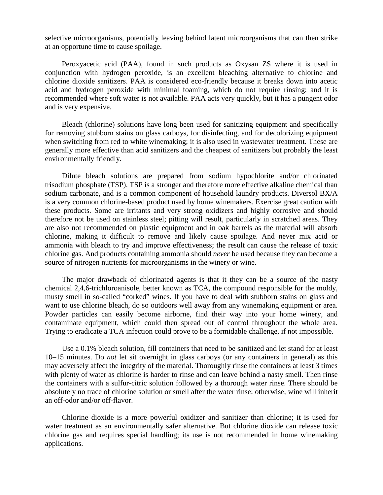selective microorganisms, potentially leaving behind latent microorganisms that can then strike at an opportune time to cause spoilage.

Peroxyacetic acid (PAA), found in such products as Oxysan ZS where it is used in conjunction with hydrogen peroxide, is an excellent bleaching alternative to chlorine and chlorine dioxide sanitizers. PAA is considered eco-friendly because it breaks down into acetic acid and hydrogen peroxide with minimal foaming, which do not require rinsing; and it is recommended where soft water is not available. PAA acts very quickly, but it has a pungent odor and is very expensive.

Bleach (chlorine) solutions have long been used for sanitizing equipment and specifically for removing stubborn stains on glass carboys, for disinfecting, and for decolorizing equipment when switching from red to white winemaking; it is also used in wastewater treatment. These are generally more effective than acid sanitizers and the cheapest of sanitizers but probably the least environmentally friendly.

Dilute bleach solutions are prepared from sodium hypochlorite and/or chlorinated trisodium phosphate (TSP). TSP is a stronger and therefore more effective alkaline chemical than sodium carbonate, and is a common component of household laundry products. Diversol BX/A is a very common chlorine-based product used by home winemakers. Exercise great caution with these products. Some are irritants and very strong oxidizers and highly corrosive and should therefore not be used on stainless steel; pitting will result, particularly in scratched areas. They are also not recommended on plastic equipment and in oak barrels as the material will absorb chlorine, making it difficult to remove and likely cause spoilage. And never mix acid or ammonia with bleach to try and improve effectiveness; the result can cause the release of toxic chlorine gas. And products containing ammonia should *never* be used because they can become a source of nitrogen nutrients for microorganisms in the winery or wine.

The major drawback of chlorinated agents is that it they can be a source of the nasty chemical 2,4,6-trichloroanisole, better known as TCA, the compound responsible for the moldy, musty smell in so-called "corked" wines. If you have to deal with stubborn stains on glass and want to use chlorine bleach, do so outdoors well away from any winemaking equipment or area. Powder particles can easily become airborne, find their way into your home winery, and contaminate equipment, which could then spread out of control throughout the whole area. Trying to eradicate a TCA infection could prove to be a formidable challenge, if not impossible.

Use a 0.1% bleach solution, fill containers that need to be sanitized and let stand for at least 10–15 minutes. Do *not* let sit overnight in glass carboys (or any containers in general) as this may adversely affect the integrity of the material. Thoroughly rinse the containers at least 3 times with plenty of water as chlorine is harder to rinse and can leave behind a nasty smell. Then rinse the containers with a sulfur-citric solution followed by a thorough water rinse. There should be absolutely no trace of chlorine solution or smell after the water rinse; otherwise, wine will inherit an off-odor and/or off-flavor.

Chlorine dioxide is a more powerful oxidizer and sanitizer than chlorine; it is used for water treatment as an environmentally safer alternative. But chlorine dioxide can release toxic chlorine gas and requires special handling; its use is not recommended in home winemaking applications.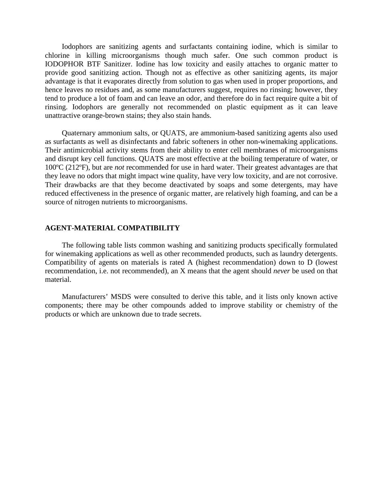Iodophors are sanitizing agents and surfactants containing iodine, which is similar to chlorine in killing microorganisms though much safer. One such common product is IODOPHOR BTF Sanitizer. Iodine has low toxicity and easily attaches to organic matter to provide good sanitizing action. Though not as effective as other sanitizing agents, its major advantage is that it evaporates directly from solution to gas when used in proper proportions, and hence leaves no residues and, as some manufacturers suggest, requires no rinsing; however, they tend to produce a lot of foam and can leave an odor, and therefore do in fact require quite a bit of rinsing. Iodophors are generally not recommended on plastic equipment as it can leave unattractive orange-brown stains; they also stain hands.

Quaternary ammonium salts, or QUATS, are ammonium-based sanitizing agents also used as surfactants as well as disinfectants and fabric softeners in other non-winemaking applications. Their antimicrobial activity stems from their ability to enter cell membranes of microorganisms and disrupt key cell functions. QUATS are most effective at the boiling temperature of water, or 100ºC (212ºF), but are *not* recommended for use in hard water. Their greatest advantages are that they leave no odors that might impact wine quality, have very low toxicity, and are not corrosive. Their drawbacks are that they become deactivated by soaps and some detergents, may have reduced effectiveness in the presence of organic matter, are relatively high foaming, and can be a source of nitrogen nutrients to microorganisms.

### **AGENT-MATERIAL COMPATIBILITY**

The following table lists common washing and sanitizing products specifically formulated for winemaking applications as well as other recommended products, such as laundry detergents. Compatibility of agents on materials is rated A (highest recommendation) down to D (lowest recommendation, i.e. not recommended), an X means that the agent should *never* be used on that material.

Manufacturers' MSDS were consulted to derive this table, and it lists only known active components; there may be other compounds added to improve stability or chemistry of the products or which are unknown due to trade secrets.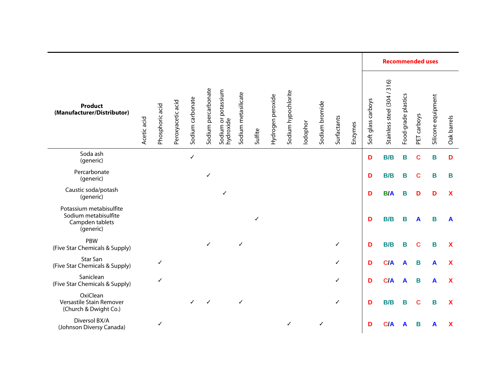|                                                                                 |             |                 |                   |                  | Sodium percarbonate |                                  | Sodium metasilicate | Sulfite | Hydrogen peroxide | Sodium hypochlorite | lodophor | Sodium bromide | Surfactants  | Enzymes | <b>Recommended uses</b> |                             |                     |             |                    |                           |
|---------------------------------------------------------------------------------|-------------|-----------------|-------------------|------------------|---------------------|----------------------------------|---------------------|---------|-------------------|---------------------|----------|----------------|--------------|---------|-------------------------|-----------------------------|---------------------|-------------|--------------------|---------------------------|
| <b>Product</b><br>(Manufacturer/Distributor)                                    | Acetic acid | Phosphoric acid | Peroxyacetic acid | Sodium carbonate |                     | Sodium or potassium<br>hydroxide |                     |         |                   |                     |          |                |              |         | Soft glass carboys      | Stainless steel (304 / 316) | Food-grade plastics | PET carboys | Silicone equipment | Oak barrels               |
| Soda ash<br>(generic)                                                           |             |                 |                   | ✓                |                     |                                  |                     |         |                   |                     |          |                |              |         | D                       | B/B                         | B                   | $\mathbf c$ | B                  | D                         |
| Percarbonate<br>(generic)                                                       |             |                 |                   |                  | ✓                   |                                  |                     |         |                   |                     |          |                |              |         | D                       | B/B                         | Β                   | C           | B                  | В                         |
| Caustic soda/potash<br>(generic)                                                |             |                 |                   |                  |                     | ✓                                |                     |         |                   |                     |          |                |              |         | D                       | <b>B/A</b>                  | B                   | D           | D                  | $\boldsymbol{\mathsf{X}}$ |
| Potassium metabisulfite<br>Sodium metabisulfite<br>Campden tablets<br>(generic) |             |                 |                   |                  |                     |                                  |                     | ✓       |                   |                     |          |                |              |         | D                       | B/B                         | Β                   | A           | B                  | A                         |
| PBW<br>(Five Star Chemicals & Supply)                                           |             |                 |                   |                  | $\checkmark$        |                                  | ✓                   |         |                   |                     |          |                | $\checkmark$ |         | D                       | B/B                         | Β                   | $\mathbf c$ | В                  | X                         |
| Star San<br>(Five Star Chemicals & Supply)                                      |             | ✓               |                   |                  |                     |                                  |                     |         |                   |                     |          |                | $\checkmark$ |         | D                       | C/A                         | A                   | B           | A                  | X                         |
| Saniclean<br>(Five Star Chemicals & Supply)                                     |             | ✓               |                   |                  |                     |                                  |                     |         |                   |                     |          |                | ✓            |         | D                       | C/A                         | A                   | В           | A                  | X                         |
| OxiClean<br>Versastile Stain Remover<br>(Church & Dwight Co.)                   |             |                 |                   | ✓                | ✓                   |                                  | $\checkmark$        |         |                   |                     |          |                | ✓            |         | D                       | B/B                         | В                   | C           | B                  | X                         |
| Diversol BX/A<br>(Johnson Diversy Canada)                                       |             |                 |                   |                  |                     |                                  |                     |         |                   | ✓                   |          | √              |              |         | D                       | C/A                         | A                   | в           | A                  | X                         |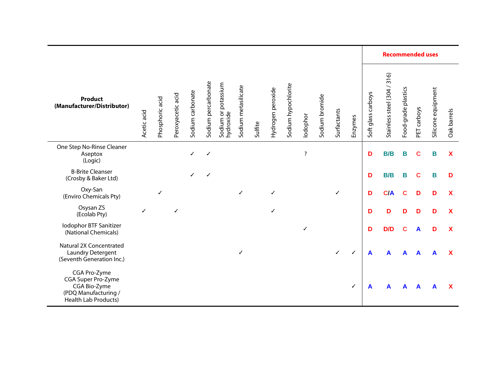|                                                                                                           |             |                 |                   |                  |                     |                                  |                     |         |                   |                     |                    |                |              |         | <b>Recommended uses</b> |                             |                     |             |                    |                           |
|-----------------------------------------------------------------------------------------------------------|-------------|-----------------|-------------------|------------------|---------------------|----------------------------------|---------------------|---------|-------------------|---------------------|--------------------|----------------|--------------|---------|-------------------------|-----------------------------|---------------------|-------------|--------------------|---------------------------|
| <b>Product</b><br>(Manufacturer/Distributor)                                                              | Acetic acid | Phosphoric acid | Peroxyacetic acid | Sodium carbonate | Sodium percarbonate | Sodium or potassium<br>hydroxide | Sodium metasilicate | Sulfite | Hydrogen peroxide | Sodium hypochlorite | lodophor           | Sodium bromide | Surfactants  | Enzymes | Soft glass carboys      | Stainless steel (304 / 316) | Food-grade plastics | PET carboys | Silicone equipment | Oak barrels               |
| One Step No-Rinse Cleaner<br>Aseptox<br>(Logic)                                                           |             |                 |                   |                  | ✓                   |                                  |                     |         |                   |                     | $\overline{\cdot}$ |                |              |         | D                       | B/B                         | В                   | C           | В                  | X                         |
| <b>B-Brite Cleanser</b><br>(Crosby & Baker Ltd)                                                           |             |                 |                   |                  | √                   |                                  |                     |         |                   |                     |                    |                |              |         | D                       | B/B                         | Β                   | C           | Β                  | D                         |
| Oxy-San<br>(Enviro Chemicals Pty)                                                                         |             | ✓               |                   |                  |                     |                                  | ✓                   |         | ✓                 |                     |                    |                | ✓            |         | D                       | C/A                         | С                   | D           | D                  | $\boldsymbol{\mathsf{x}}$ |
| Osysan ZS<br>(Ecolab Pty)                                                                                 | ✓           |                 |                   |                  |                     |                                  |                     |         |                   |                     |                    |                |              |         | D                       | D                           | D                   | D           | D                  | X                         |
| Iodophor BTF Sanitizer<br>(National Chemicals)                                                            |             |                 |                   |                  |                     |                                  |                     |         |                   |                     | ✓                  |                |              |         | D                       | D/D                         | С                   | A           | D                  | X                         |
| Natural 2X Concentrated<br>Laundry Detergent<br>(Seventh Generation Inc.)                                 |             |                 |                   |                  |                     |                                  | ✓                   |         |                   |                     |                    |                | $\checkmark$ | ✓       | $\mathbf{A}$            | A                           | A                   | A           |                    | X                         |
| CGA Pro-Zyme<br>CGA Super Pro-Zyme<br>CGA Bio-Zyme<br>(PDQ Manufacturing /<br><b>Health Lab Products)</b> |             |                 |                   |                  |                     |                                  |                     |         |                   |                     |                    |                |              | ✓       | A                       |                             |                     |             |                    | х                         |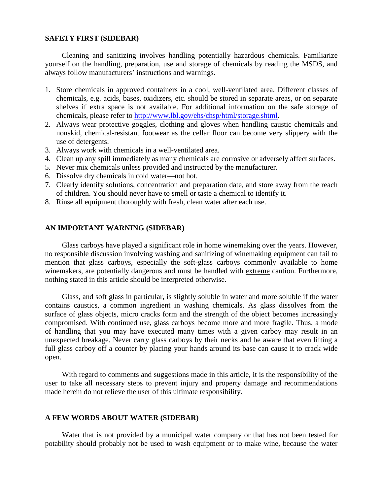## **SAFETY FIRST (SIDEBAR)**

Cleaning and sanitizing involves handling potentially hazardous chemicals. Familiarize yourself on the handling, preparation, use and storage of chemicals by reading the MSDS, and always follow manufacturers' instructions and warnings.

- 1. Store chemicals in approved containers in a cool, well-ventilated area. Different classes of chemicals, e.g. acids, bases, oxidizers, etc. should be stored in separate areas, or on separate shelves if extra space is not available. For additional information on the safe storage of chemicals, please refer to http://www.lbl.gov/ehs/chsp/html/storage.shtml.
- 2. Always wear protective goggles, clothing and gloves when handling caustic chemicals and nonskid, chemical-resistant footwear as the cellar floor can become very slippery with the use of detergents.
- 3. Always work with chemicals in a well-ventilated area.
- 4. Clean up any spill immediately as many chemicals are corrosive or adversely affect surfaces.
- 5. Never mix chemicals unless provided and instructed by the manufacturer.
- 6. Dissolve dry chemicals in cold water—not hot.
- 7. Clearly identify solutions, concentration and preparation date, and store away from the reach of children. You should never have to smell or taste a chemical to identify it.
- 8. Rinse all equipment thoroughly with fresh, clean water after each use.

## **AN IMPORTANT WARNING (SIDEBAR)**

Glass carboys have played a significant role in home winemaking over the years. However, no responsible discussion involving washing and sanitizing of winemaking equipment can fail to mention that glass carboys, especially the soft-glass carboys commonly available to home winemakers, are potentially dangerous and must be handled with extreme caution. Furthermore, nothing stated in this article should be interpreted otherwise.

Glass, and soft glass in particular, is slightly soluble in water and more soluble if the water contains caustics, a common ingredient in washing chemicals. As glass dissolves from the surface of glass objects, micro cracks form and the strength of the object becomes increasingly compromised. With continued use, glass carboys become more and more fragile. Thus, a mode of handling that you may have executed many times with a given carboy may result in an unexpected breakage. Never carry glass carboys by their necks and be aware that even lifting a full glass carboy off a counter by placing your hands around its base can cause it to crack wide open.

With regard to comments and suggestions made in this article, it is the responsibility of the user to take all necessary steps to prevent injury and property damage and recommendations made herein do not relieve the user of this ultimate responsibility.

### **A FEW WORDS ABOUT WATER (SIDEBAR)**

Water that is not provided by a municipal water company or that has not been tested for potability should probably not be used to wash equipment or to make wine, because the water